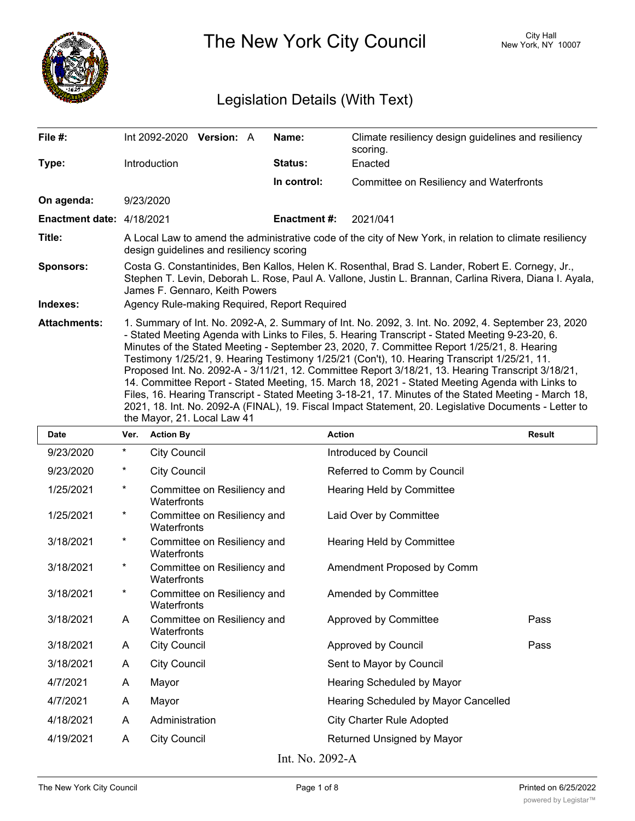

The New York City Council New York, NY 10007

## Legislation Details (With Text)

| File #:                   | Int $2092-2020$ Version: A                                                                                                                                                                                                                                                                                                                                                                                                                                                                                                                                                                                                                                                                                                                                                                                                                                     | Name:        | Climate resiliency design guidelines and resiliency<br>scoring. |  |  |
|---------------------------|----------------------------------------------------------------------------------------------------------------------------------------------------------------------------------------------------------------------------------------------------------------------------------------------------------------------------------------------------------------------------------------------------------------------------------------------------------------------------------------------------------------------------------------------------------------------------------------------------------------------------------------------------------------------------------------------------------------------------------------------------------------------------------------------------------------------------------------------------------------|--------------|-----------------------------------------------------------------|--|--|
| Type:                     | Introduction                                                                                                                                                                                                                                                                                                                                                                                                                                                                                                                                                                                                                                                                                                                                                                                                                                                   | Status:      | Enacted                                                         |  |  |
|                           |                                                                                                                                                                                                                                                                                                                                                                                                                                                                                                                                                                                                                                                                                                                                                                                                                                                                | In control:  | Committee on Resiliency and Waterfronts                         |  |  |
| On agenda:                | 9/23/2020                                                                                                                                                                                                                                                                                                                                                                                                                                                                                                                                                                                                                                                                                                                                                                                                                                                      |              |                                                                 |  |  |
| Enactment date: 4/18/2021 |                                                                                                                                                                                                                                                                                                                                                                                                                                                                                                                                                                                                                                                                                                                                                                                                                                                                | Enactment #: | 2021/041                                                        |  |  |
| Title:                    | A Local Law to amend the administrative code of the city of New York, in relation to climate resiliency<br>design guidelines and resiliency scoring                                                                                                                                                                                                                                                                                                                                                                                                                                                                                                                                                                                                                                                                                                            |              |                                                                 |  |  |
| <b>Sponsors:</b>          | Costa G. Constantinides, Ben Kallos, Helen K. Rosenthal, Brad S. Lander, Robert E. Cornegy, Jr.,<br>Stephen T. Levin, Deborah L. Rose, Paul A. Vallone, Justin L. Brannan, Carlina Rivera, Diana I. Ayala,<br>James F. Gennaro, Keith Powers                                                                                                                                                                                                                                                                                                                                                                                                                                                                                                                                                                                                                   |              |                                                                 |  |  |
| Indexes:                  | Agency Rule-making Required, Report Required                                                                                                                                                                                                                                                                                                                                                                                                                                                                                                                                                                                                                                                                                                                                                                                                                   |              |                                                                 |  |  |
| <b>Attachments:</b>       | 1. Summary of Int. No. 2092-A, 2. Summary of Int. No. 2092, 3. Int. No. 2092, 4. September 23, 2020<br>- Stated Meeting Agenda with Links to Files, 5. Hearing Transcript - Stated Meeting 9-23-20, 6.<br>Minutes of the Stated Meeting - September 23, 2020, 7. Committee Report 1/25/21, 8. Hearing<br>Testimony 1/25/21, 9. Hearing Testimony 1/25/21 (Con't), 10. Hearing Transcript 1/25/21, 11.<br>Proposed Int. No. 2092-A - 3/11/21, 12. Committee Report 3/18/21, 13. Hearing Transcript 3/18/21,<br>14. Committee Report - Stated Meeting, 15. March 18, 2021 - Stated Meeting Agenda with Links to<br>Files, 16. Hearing Transcript - Stated Meeting 3-18-21, 17. Minutes of the Stated Meeting - March 18,<br>2021, 18. Int. No. 2092-A (FINAL), 19. Fiscal Impact Statement, 20. Legislative Documents - Letter to<br>the Mayor, 21. Local Law 41 |              |                                                                 |  |  |

| <b>Date</b>     | Ver.     | <b>Action By</b>                           | <b>Action</b>                        | <b>Result</b> |  |
|-----------------|----------|--------------------------------------------|--------------------------------------|---------------|--|
| 9/23/2020       | $\star$  | <b>City Council</b>                        | Introduced by Council                |               |  |
| 9/23/2020       | $^\ast$  | <b>City Council</b>                        | Referred to Comm by Council          |               |  |
| 1/25/2021       | $^\ast$  | Committee on Resiliency and<br>Waterfronts | Hearing Held by Committee            |               |  |
| 1/25/2021       | $\star$  | Committee on Resiliency and<br>Waterfronts | Laid Over by Committee               |               |  |
| 3/18/2021       | $\star$  | Committee on Resiliency and<br>Waterfronts | Hearing Held by Committee            |               |  |
| 3/18/2021       | $^\ast$  | Committee on Resiliency and<br>Waterfronts | Amendment Proposed by Comm           |               |  |
| 3/18/2021       | $^\star$ | Committee on Resiliency and<br>Waterfronts | Amended by Committee                 |               |  |
| 3/18/2021       | A        | Committee on Resiliency and<br>Waterfronts | Approved by Committee                | Pass          |  |
| 3/18/2021       | A        | <b>City Council</b>                        | Approved by Council                  | Pass          |  |
| 3/18/2021       | A        | <b>City Council</b>                        | Sent to Mayor by Council             |               |  |
| 4/7/2021        | A        | Mayor                                      | Hearing Scheduled by Mayor           |               |  |
| 4/7/2021        | A        | Mayor                                      | Hearing Scheduled by Mayor Cancelled |               |  |
| 4/18/2021       | A        | Administration                             | <b>City Charter Rule Adopted</b>     |               |  |
| 4/19/2021       | A        | <b>City Council</b>                        | Returned Unsigned by Mayor           |               |  |
| Int. No. 2092-A |          |                                            |                                      |               |  |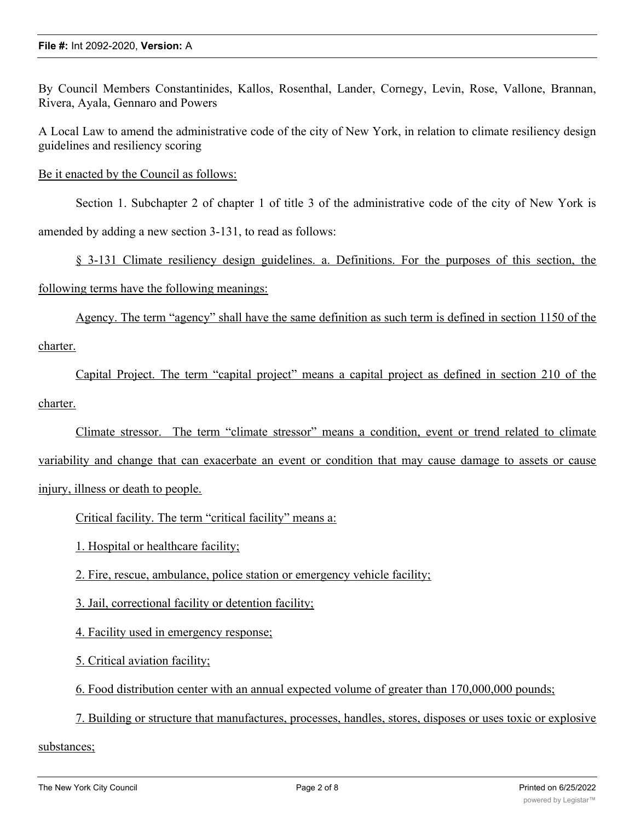By Council Members Constantinides, Kallos, Rosenthal, Lander, Cornegy, Levin, Rose, Vallone, Brannan, Rivera, Ayala, Gennaro and Powers

A Local Law to amend the administrative code of the city of New York, in relation to climate resiliency design guidelines and resiliency scoring

Be it enacted by the Council as follows:

Section 1. Subchapter 2 of chapter 1 of title 3 of the administrative code of the city of New York is amended by adding a new section 3-131, to read as follows:

§ 3-131 Climate resiliency design guidelines. a. Definitions. For the purposes of this section, the following terms have the following meanings:

Agency. The term "agency" shall have the same definition as such term is defined in section 1150 of the charter.

Capital Project. The term "capital project" means a capital project as defined in section 210 of the charter.

Climate stressor. The term "climate stressor" means a condition, event or trend related to climate variability and change that can exacerbate an event or condition that may cause damage to assets or cause injury, illness or death to people.

Critical facility. The term "critical facility" means a:

1. Hospital or healthcare facility;

2. Fire, rescue, ambulance, police station or emergency vehicle facility;

3. Jail, correctional facility or detention facility;

4. Facility used in emergency response;

5. Critical aviation facility;

6. Food distribution center with an annual expected volume of greater than 170,000,000 pounds;

7. Building or structure that manufactures, processes, handles, stores, disposes or uses toxic or explosive

substances;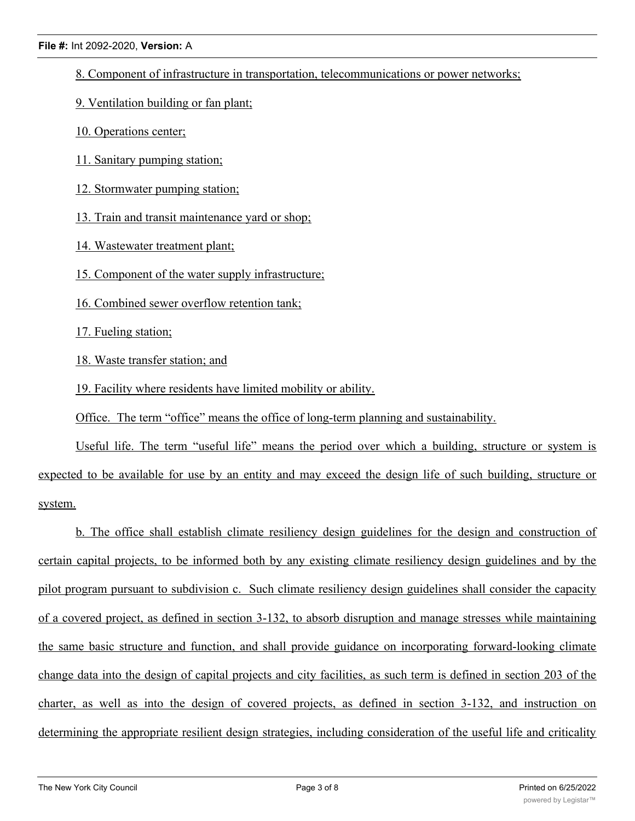8. Component of infrastructure in transportation, telecommunications or power networks;

9. Ventilation building or fan plant;

- 10. Operations center;
- 11. Sanitary pumping station;
- 12. Stormwater pumping station;

13. Train and transit maintenance yard or shop;

14. Wastewater treatment plant;

15. Component of the water supply infrastructure;

16. Combined sewer overflow retention tank;

17. Fueling station;

18. Waste transfer station; and

19. Facility where residents have limited mobility or ability.

Office. The term "office" means the office of long-term planning and sustainability.

Useful life. The term "useful life" means the period over which a building, structure or system is expected to be available for use by an entity and may exceed the design life of such building, structure or system.

b. The office shall establish climate resiliency design guidelines for the design and construction of certain capital projects, to be informed both by any existing climate resiliency design guidelines and by the pilot program pursuant to subdivision c. Such climate resiliency design guidelines shall consider the capacity of a covered project, as defined in section 3-132, to absorb disruption and manage stresses while maintaining the same basic structure and function, and shall provide guidance on incorporating forward-looking climate change data into the design of capital projects and city facilities, as such term is defined in section 203 of the charter, as well as into the design of covered projects, as defined in section 3-132, and instruction on determining the appropriate resilient design strategies, including consideration of the useful life and criticality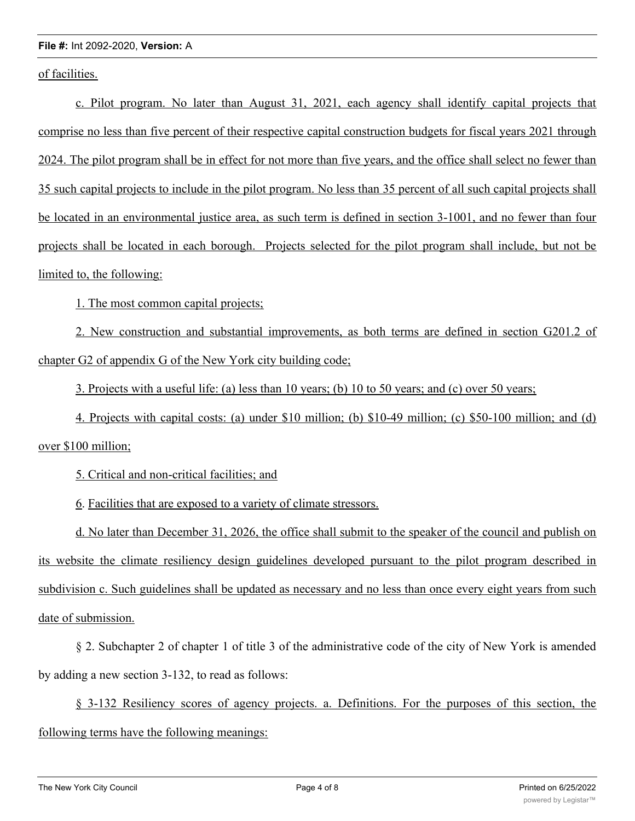## **File #:** Int 2092-2020, **Version:** A

of facilities.

c. Pilot program. No later than August 31, 2021, each agency shall identify capital projects that comprise no less than five percent of their respective capital construction budgets for fiscal years 2021 through 2024. The pilot program shall be in effect for not more than five years, and the office shall select no fewer than 35 such capital projects to include in the pilot program. No less than 35 percent of all such capital projects shall be located in an environmental justice area, as such term is defined in section 3-1001, and no fewer than four projects shall be located in each borough. Projects selected for the pilot program shall include, but not be limited to, the following:

1. The most common capital projects;

2. New construction and substantial improvements, as both terms are defined in section G201.2 of chapter G2 of appendix G of the New York city building code;

3. Projects with a useful life: (a) less than 10 years; (b) 10 to 50 years; and (c) over 50 years;

4. Projects with capital costs: (a) under \$10 million; (b) \$10-49 million; (c) \$50-100 million; and (d)

over \$100 million;

5. Critical and non-critical facilities; and

6. Facilities that are exposed to a variety of climate stressors.

d. No later than December 31, 2026, the office shall submit to the speaker of the council and publish on its website the climate resiliency design guidelines developed pursuant to the pilot program described in subdivision c. Such guidelines shall be updated as necessary and no less than once every eight years from such date of submission.

§ 2. Subchapter 2 of chapter 1 of title 3 of the administrative code of the city of New York is amended by adding a new section 3-132, to read as follows:

§ 3-132 Resiliency scores of agency projects. a. Definitions. For the purposes of this section, the following terms have the following meanings: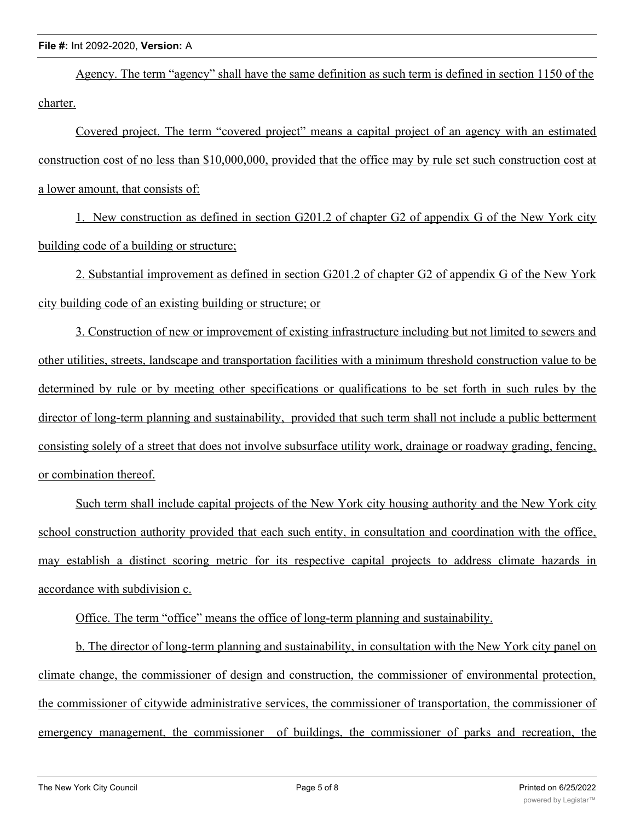Agency. The term "agency" shall have the same definition as such term is defined in section 1150 of the charter.

Covered project. The term "covered project" means a capital project of an agency with an estimated construction cost of no less than \$10,000,000, provided that the office may by rule set such construction cost at a lower amount, that consists of:

1. New construction as defined in section G201.2 of chapter G2 of appendix G of the New York city building code of a building or structure;

2. Substantial improvement as defined in section G201.2 of chapter G2 of appendix G of the New York city building code of an existing building or structure; or

3. Construction of new or improvement of existing infrastructure including but not limited to sewers and other utilities, streets, landscape and transportation facilities with a minimum threshold construction value to be determined by rule or by meeting other specifications or qualifications to be set forth in such rules by the director of long-term planning and sustainability, provided that such term shall not include a public betterment consisting solely of a street that does not involve subsurface utility work, drainage or roadway grading, fencing, or combination thereof.

Such term shall include capital projects of the New York city housing authority and the New York city school construction authority provided that each such entity, in consultation and coordination with the office, may establish a distinct scoring metric for its respective capital projects to address climate hazards in accordance with subdivision c.

Office. The term "office" means the office of long-term planning and sustainability.

b. The director of long-term planning and sustainability, in consultation with the New York city panel on climate change, the commissioner of design and construction, the commissioner of environmental protection, the commissioner of citywide administrative services, the commissioner of transportation, the commissioner of emergency management, the commissioner of buildings, the commissioner of parks and recreation, the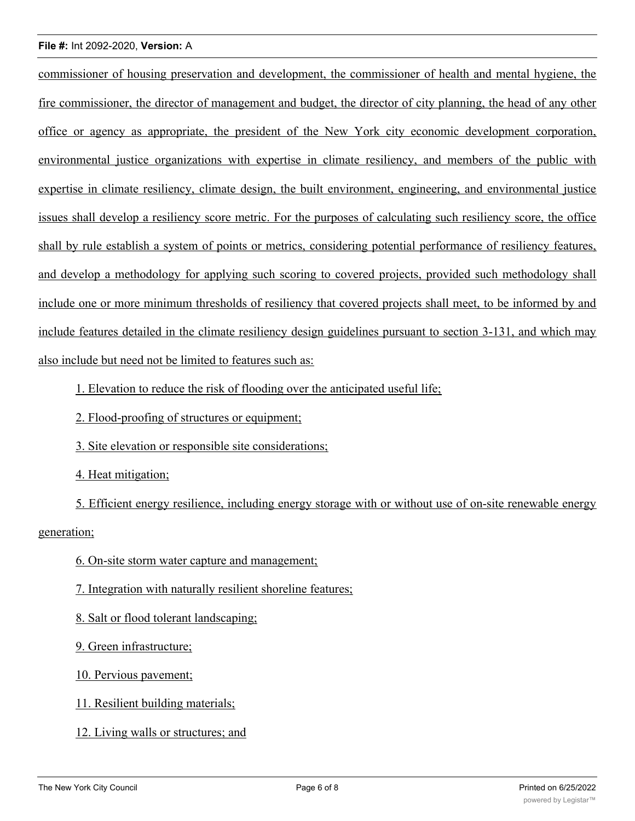## **File #:** Int 2092-2020, **Version:** A

commissioner of housing preservation and development, the commissioner of health and mental hygiene, the fire commissioner, the director of management and budget, the director of city planning, the head of any other office or agency as appropriate, the president of the New York city economic development corporation, environmental justice organizations with expertise in climate resiliency, and members of the public with expertise in climate resiliency, climate design, the built environment, engineering, and environmental justice issues shall develop a resiliency score metric. For the purposes of calculating such resiliency score, the office shall by rule establish a system of points or metrics, considering potential performance of resiliency features, and develop a methodology for applying such scoring to covered projects, provided such methodology shall include one or more minimum thresholds of resiliency that covered projects shall meet, to be informed by and include features detailed in the climate resiliency design guidelines pursuant to section 3-131, and which may also include but need not be limited to features such as:

1. Elevation to reduce the risk of flooding over the anticipated useful life;

2. Flood-proofing of structures or equipment;

3. Site elevation or responsible site considerations;

4. Heat mitigation;

5. Efficient energy resilience, including energy storage with or without use of on-site renewable energy generation;

6. On-site storm water capture and management;

7. Integration with naturally resilient shoreline features;

8. Salt or flood tolerant landscaping;

9. Green infrastructure;

10. Pervious pavement;

11. Resilient building materials;

12. Living walls or structures; and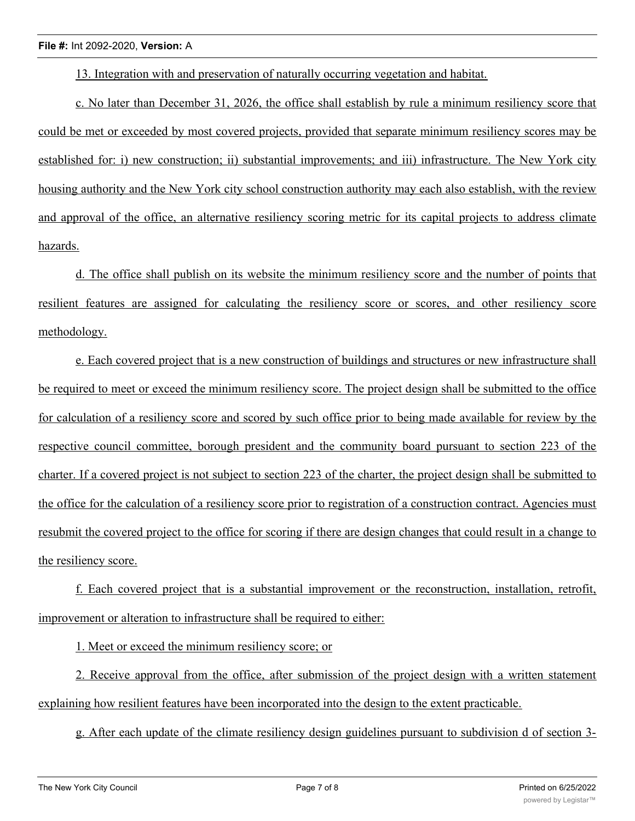13. Integration with and preservation of naturally occurring vegetation and habitat.

c. No later than December 31, 2026, the office shall establish by rule a minimum resiliency score that could be met or exceeded by most covered projects, provided that separate minimum resiliency scores may be established for: i) new construction; ii) substantial improvements; and iii) infrastructure. The New York city housing authority and the New York city school construction authority may each also establish, with the review and approval of the office, an alternative resiliency scoring metric for its capital projects to address climate hazards.

d. The office shall publish on its website the minimum resiliency score and the number of points that resilient features are assigned for calculating the resiliency score or scores, and other resiliency score methodology.

e. Each covered project that is a new construction of buildings and structures or new infrastructure shall be required to meet or exceed the minimum resiliency score. The project design shall be submitted to the office for calculation of a resiliency score and scored by such office prior to being made available for review by the respective council committee, borough president and the community board pursuant to section 223 of the charter. If a covered project is not subject to section 223 of the charter, the project design shall be submitted to the office for the calculation of a resiliency score prior to registration of a construction contract. Agencies must resubmit the covered project to the office for scoring if there are design changes that could result in a change to the resiliency score.

f. Each covered project that is a substantial improvement or the reconstruction, installation, retrofit, improvement or alteration to infrastructure shall be required to either:

1. Meet or exceed the minimum resiliency score; or

2. Receive approval from the office, after submission of the project design with a written statement explaining how resilient features have been incorporated into the design to the extent practicable.

g. After each update of the climate resiliency design guidelines pursuant to subdivision d of section 3-